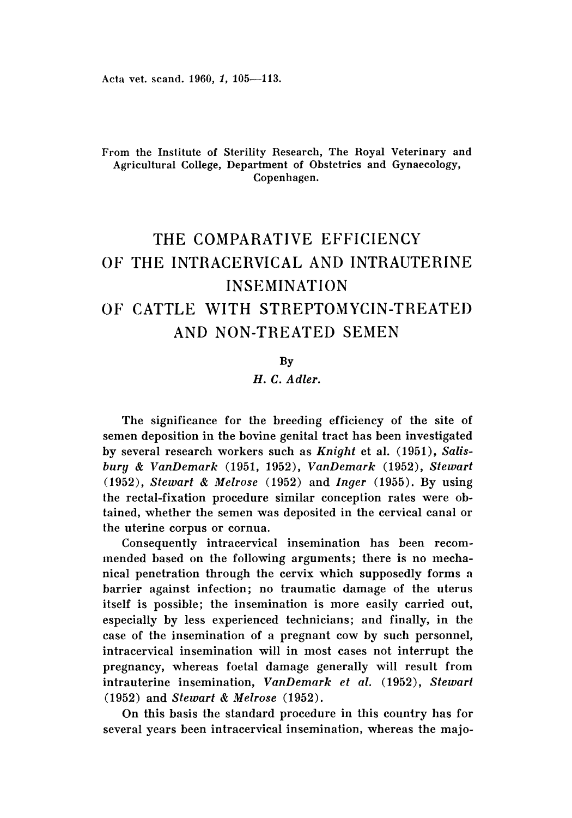# From the Institute of Sterility Research, The Royal Veterinary and Agricultural College, Department of Obstetrics and Gynaecology, Copenhagen.

# THE COMPARATIVE EFFICIENCY OF THE INTRACERVICAL AND INTRAUTERINE INSEMINATION OF CATTLE WITH STREPTOMYCIN-TREATED AND NON-TREATED SEMEN

#### By

# *H.* C. *Adler.*

The significance for the breeding efficiency of the site of semen deposition in the bovine genital tract has been investigated by several research workers such as *Knight* et al. (1951), *Salis bury* & *VanDemark* (1951, 1952), *VanDemark* (1952), *Stewart (1952 ), Stewart* & *Melrose* (1952) and *Inger* (1955). By using the rectal-fixation procedure similar conception rates were obtained, whether the semen was deposited in the cervical canal or the uterine corpus or cornua.

Consequently intracervical insemination has been recommended based on the following arguments; there is no mechanical penetration through the cervix which supposedly forms n barrier against infection; no traumatic damage of the uterus itself is possible; the insemination is more easily carried out, especially by less experienced technicians; and finally, in the case of the insemination of a pregnant cow by such personnel, intracervical insemination will in most cases not interrupt the pregnancy, whereas foetal damage generally will result from intrauterine insemination, *VanDemark et al,* (1952), *Stewart* (1952) and *Stewart* & *Melrose (1952).*

On this basis the standard procedure in this country has for several years been intracervical insemination, whereas the majo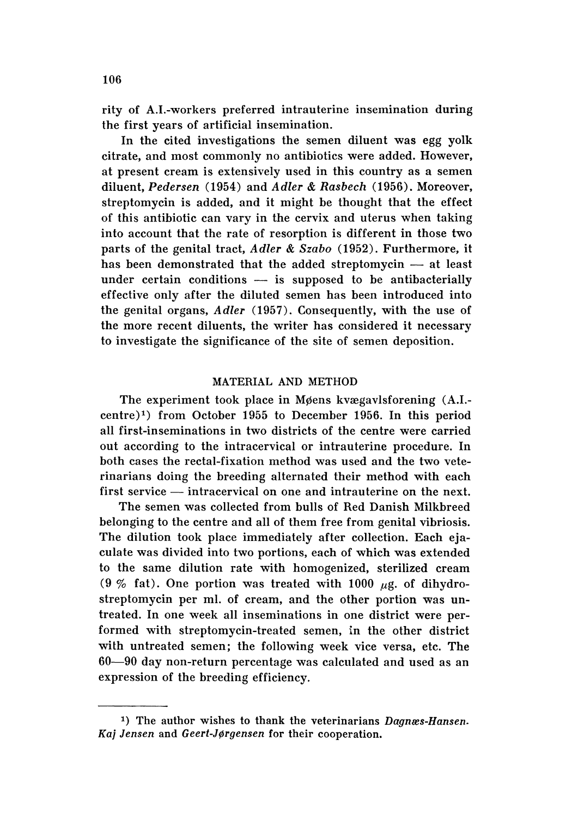rity of A.I.-workers preferred intrauterine insemination during the first years of artificial insemination.

In the cited investigations the semen diluent was egg yolk citrate, and most commonly no antibiotics were added. However, at present cream is extensively used in this country as a semen diluent, *Pedersen* (1954) and *Adler* & *Rasbech* (1956). Moreover, streptomycin is added, and it might be thought that the effect of this antibiotic can vary in the cervix and uterus when taking into account that the rate of resorption is different in those two parts of the genital tract, *Adler* & *Szabo* (1952) . Furthermore, it has been demonstrated that the added streptomycin  $-$  at least under certain conditions  $-$  is supposed to be antibacterially effective only after the diluted semen has been introduced into the genital organs, *Adler* (1957) . Consequently, with the use of the more recent diluents, the writer has considered it necessary to investigate the significance of the site of semen deposition.

## MATERIAL AND METHOD

The experiment took place in Møens kvægavlsforening (A.I. $centre)^1$ ) from October 1955 to December 1956. In this period all first-inseminations in two districts of the centre were carried out according to the intracervical or intrauterine procedure. In both cases the rectal-fixation method was used and the two veterinarians doing the breeding alternated their method with each first service — intracervical on one and intrauterine on the next.

The semen was collected from bulls of Red Danish Milkbreed belonging to the centre and all of them free from genital vibriosis. The dilution took place immediately after collection. Each ejaculate was divided into two portions, each of which was extended to the same dilution rate with homogenized, sterilized cream (9 % fat). One portion was treated with 1000  $\mu$ g. of dihydrostreptomycin per ml. of cream, and the other portion was untreated. In one week all inseminations in one district were performed with streptomycin-treated semen, in the other district with untreated semen; the following week vice versa, etc. The 60-90 day non-return percentage was calculated and used as an expression of the breeding efficiency.

<sup>&</sup>lt;sup>1</sup>) The author wishes to thank the veterinarians *Dagnæs-Hansen*. *Kaj Jensen* and *Geert-Jerqensen* for their cooperation.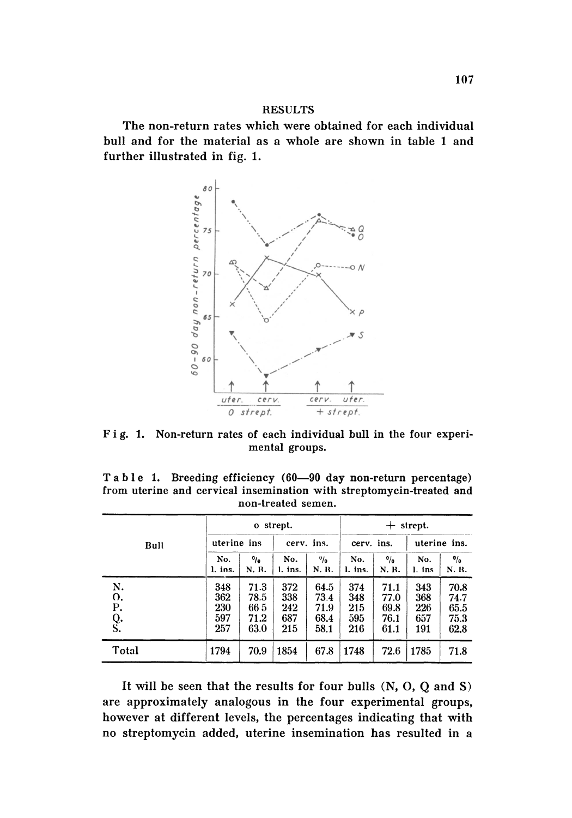# **RESULTS**

The non-return rates which were obtained for each individual bull and for the material as a whole are shown in table 1 and further illustrated in fig. 1.



Fig. 1. Non-return rates of each individual bull in the four experimental groups.

Table 1. Breeding efficiency (60-90 day non-return percentage) from uterine and cervical insemination with streptomycin-treated and non-treated semen.

| Bull                       |                                 | o strept.                           |                                 |                                      |                                 | strept.<br>$+$                       |                                 |                                      |  |
|----------------------------|---------------------------------|-------------------------------------|---------------------------------|--------------------------------------|---------------------------------|--------------------------------------|---------------------------------|--------------------------------------|--|
|                            |                                 | uterine ins.                        |                                 | cerv. ins.                           |                                 | cerv. ins.                           |                                 | uterine ins.                         |  |
|                            | No.<br>l. ins.                  | $\frac{0}{0}$<br>N. R.              | No.<br>l. ins.                  | $v_{\text{lo}}$<br>N. R.             | No.<br>l. ins.                  | $\frac{0}{0}$<br>N. R.               | No.<br>l. ins                   | $\frac{1}{2}$<br>N. R.               |  |
| N.<br>o.<br>P.<br>Q.<br>S. | 348<br>362<br>230<br>597<br>257 | 71.3<br>78.5<br>665<br>71.2<br>63.0 | 372<br>338<br>242<br>687<br>215 | 64.5<br>73.4<br>71.9<br>68.4<br>58.1 | 374<br>348<br>215<br>595<br>216 | 71.1<br>77.0<br>69.8<br>76.1<br>61.1 | 343<br>368<br>226<br>657<br>191 | 70.8<br>74.7<br>65.5<br>75.3<br>62.8 |  |
| Total                      | 1794                            | 70.9                                | 1854                            | 67.8                                 | 1748                            | 72.6                                 | 1785                            | 71.8                                 |  |

It will be seen that the results for four bulls  $(N, 0, Q$  and S) are approximately analogous in the four experimental groups, however at different levels, the percentages indicating that with no streptomycin added, uterine insemination has resulted in a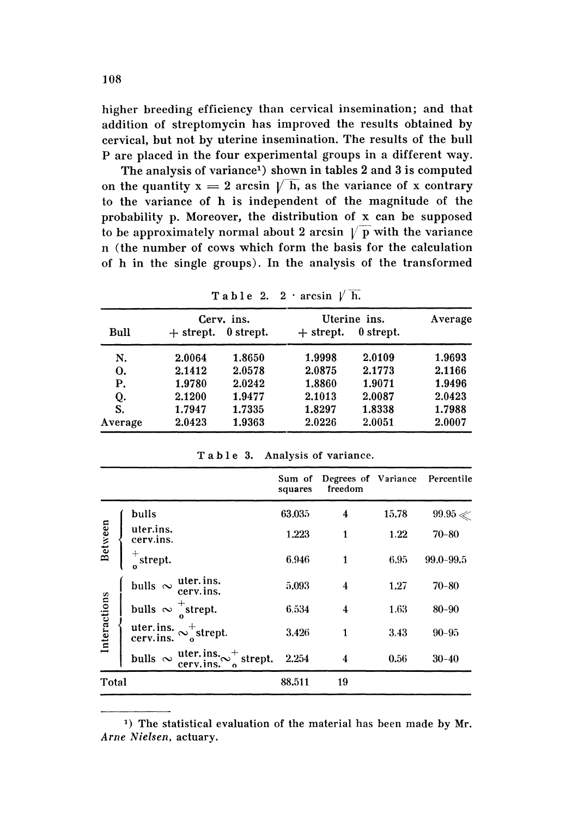higher breeding efficiency than cervical insemination; and that addition of streptomycin has improved the results obtained by cervical, but not by uterine insemination. The results of the bull P are placed in the four experimental groups in a different way.

The analysis of variance<sup>1</sup>) shown in tables 2 and 3 is computed on the quantity  $x = 2$  arcsin  $\sqrt{h}$ , as the variance of x contrary to the variance of h is independent of the magnitude of the probability p. Moreover, the distribution of x can be supposed to be approximately normal about 2 arcsin  $\sqrt{p}$  with the variance n (the number of cows which form the basis for the calculation of h in the single groups). In the analysis of the transformed

| Bull    | $+$ strept. | Cerv. ins.<br>0 strept. | Uterine ins.<br>$+$ strept. | Average |        |  |  |  |
|---------|-------------|-------------------------|-----------------------------|---------|--------|--|--|--|
| N.      | 2.0064      | 1.8650                  | 1.9998                      | 2.0109  | 1.9693 |  |  |  |
| 0.      | 2.1412      | 2.0578                  | 2.0875                      | 2.1773  | 2.1166 |  |  |  |
| Р.      | 1.9780      | 2.0242                  | 1.8860                      | 1.9071  | 1.9496 |  |  |  |
| Q.      | 2.1200      | 1.9477                  | 2.1013                      | 2.0087  | 2.0423 |  |  |  |
| S.      | 1.7947      | 1.7335                  | 1.8297                      | 1.8338  | 1.7988 |  |  |  |
| Average | 2.0423      | 1.9363                  | 2.0226                      | 2.0051  | 2.0007 |  |  |  |
|         |             |                         |                             |         |        |  |  |  |

Table 2.  $2 \cdot \arcsin \sqrt{h}$ .

Table 3. Analysis of variance.

|              |                                                                           | Sum of<br>squares | Degrees of Variance<br>freedom |       | Percentile    |
|--------------|---------------------------------------------------------------------------|-------------------|--------------------------------|-------|---------------|
| Between      | bulls                                                                     | 63.035            | 4                              | 15.78 | $99.95 \ll$   |
|              | uter.ins.<br>cerv.ins.                                                    | 1.223             | 1                              | 1.22  | $70 - 80$     |
|              | $\pm$<br>strept.                                                          | 6.946             | 1                              | 6.95  | $99.0 - 99.5$ |
| Interactions | bulls $\sim$ uter. ins.<br>cerv. ins.                                     | 5.093             | 4                              | 1.27  | $70 - 80$     |
|              | bulls $\sim \frac{1}{2}$ strept.                                          | 6.534             | 4                              | 1.63  | $80 - 90$     |
|              | uter.ins. $\sim_{o}^{+}$ strept.                                          | 3.426             | 1                              | 3.43  | $90 - 95$     |
|              | bulls $\sim \frac{\text{uter. ins.}}{\text{cerv. ins.}} \sim_0^+$ strept. | 2.254             | 4                              | 0.56  | $30 - 40$     |
| Total        |                                                                           | 88.511            | 19                             |       |               |

<sup>&</sup>lt;sup>1</sup>) The statistical evaluation of the material has been made by Mr. Arne Nielsen, actuary.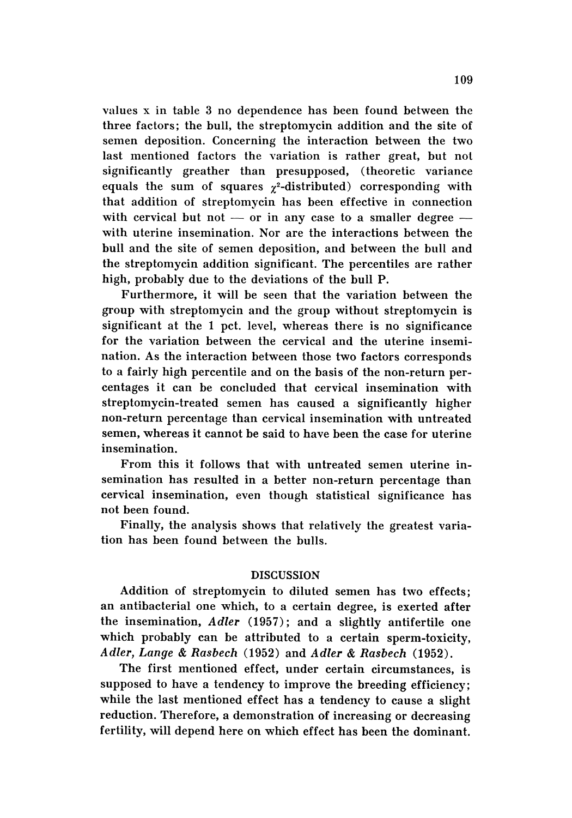values x in table 3 no dependence has been found between the three factors; the bull, the streptomycin addition and the site of semen deposition. Concerning the interaction between the two last mentioned factors the variation is rather great, but nol significantly greather than presupposed, (theoretic variance equals the sum of squares  $\chi^2$ -distributed) corresponding with that addition of streptomycin has been effective in connection with cervical but not  $-$  or in any case to a smaller degree  $$ with uterine insemination. Nor are the interactions between the bull and the site of semen deposition, and between the bull and the streptomycin addition significant. The percentiles are rather high, probably due to the deviations of the bull P.

Furthermore, it will be seen that the variation between the group with streptomycin and the group without streptomycin is significant at the 1 pet, level, whereas there is no significance for the variation between the cervical and the uterine insemination. As the interaction between those two factors corresponds to a fairly high percentile and on the basis of the non-return percentages it can be concluded that cervical insemination with streptomycin-treated semen has caused a significantly higher non-return percentage than cervical insemination with untreated semen, whereas it cannot be said to have been the case for uterine insemination.

From this it follows that with untreated semen uterine insemination has resulted in a better non-return percentage than cervical insemination, even though statistical significance has not been found.

Finally, the analysis shows that relatively the greatest variation has been found between the bulls.

## DISCUSSION

Addition of streptomycin to diluted semen has two effects; an antibacterial one which, to a certain degree, is exerted after the insemination, *Adler* (1957); and a slightly antifertile one which probably can be attributed to a certain sperm-toxicity, *Adler, Lange* & *Rasbech* (1952) and *Adler* & *Rasbech (1952).*

The first mentioned effect, under certain circumstances, is supposed to have a tendency to improve the breeding efficiency; while the last mentioned effect has a tendency to cause a slight reduction. Therefore, a demonstration of increasing or decreasing fertility, will depend here on which effect has been the dominant.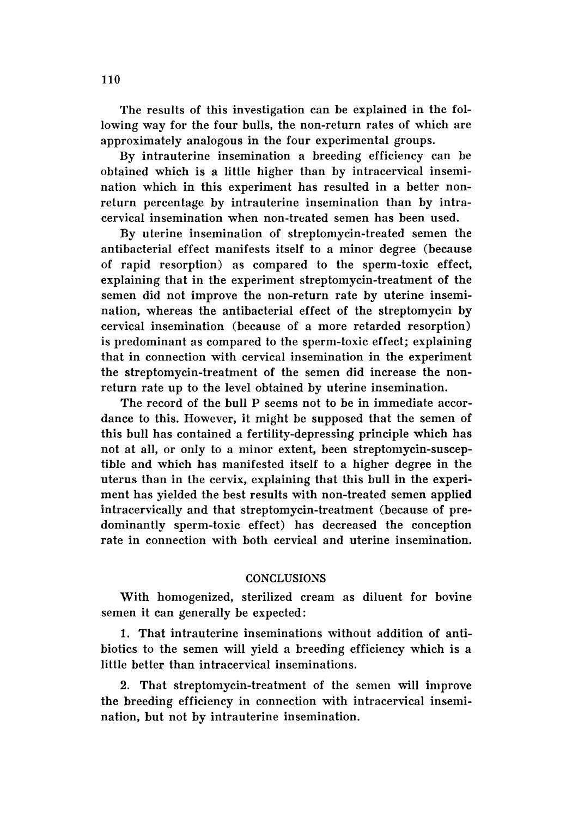The results of this investigation can be explained in the following way for the four bulls, the non-return rates of which are approximately analogous in the four experimental groups.

By intrauterine insemination a breeding efficiency can be obtained which is a little higher than by intracervical insemination which in this experiment has resulted in a better nonreturn percentage by intrauterine insemination than by intracervical insemination when non-treated semen has been used.

By uterine insemination of streptomycin-treated semen the antibacterial effect manifests itself to a minor degree (because of rapid resorption) as compared to the sperm-toxic effect, explaining that in the experiment streptomycin-treatment of the semen did not improve the non-return rate by uterine insemination, whereas the antibacterial effect of the streptomycin by cervical insemination (because of a more retarded resorption) is predominant as compared to the sperm-toxic effect; explaining that in connection with cervical insemination in the experiment the streptomycin-treatment of the semen did increase the nonreturn rate up to the level obtained by uterine insemination.

The record of the bull P seems not to be in immediate accordance to this. However, it might be supposed that the semen of this bull has contained a fertility-depressing principle which has not at all, or only to a minor extent, been streptomycin-susceptible and which has manifested itself to a higher degree in the uterus than in the cervix, explaining that this bull in the experiment has yielded the best results with non-treated semen applied intracervically and that streptomycin-treatment (because of predominantly sperm-toxic effect) has decreased the conception rate in connection with both cervical and uterine insemination.

# **CONCLUSIONS**

With homogenized, sterilized cream as diluent for bovine semen it can generally be expected:

1. That intrauterine inseminations without addition of antibiotics to the semen will yield a breeding efficiency which is a little better than intracervical inseminations.

2. That streptomycin-treatment of the semen will improve the breeding efficiency in connection with intracervical insemination, but not by intrauterine insemination.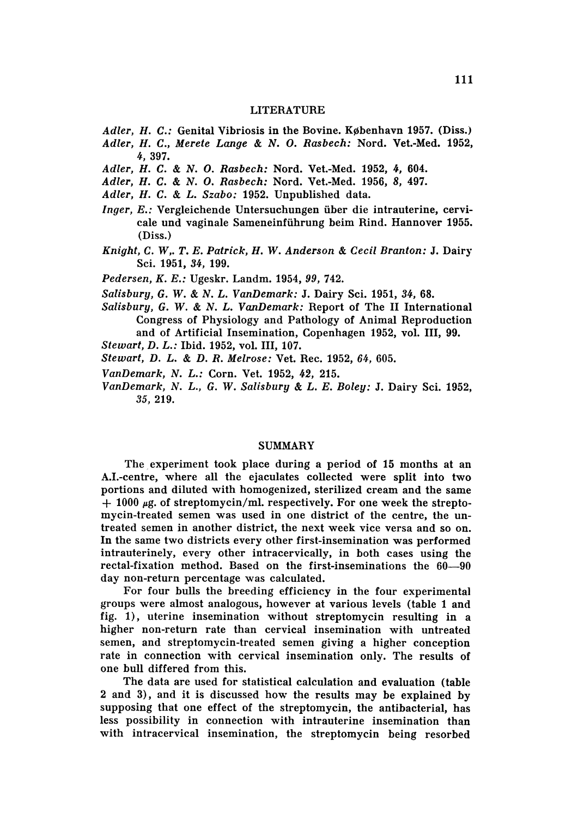#### LITERATURE

- *Adler, H. C.:* Genital Vibriosis in the Bovine. København 1957. (Diss.)
- *Adler, H. C., Merete Lange* & *N.* O. *Rasbech:* Nord. Vet.-Med. 1952, 4,397.
- *Adler, H.* C. & *N.* O. *Rasbech:* Nord. Vet.-Med. 1952, 4, 604.
- *Adler, H.* C. & *N.* O. *Rasbech:* Nord. Vet.-Med. 1956, 8, 497.
- *Adler, H.* C. & *L. Szabo:* 1952. Unpublished data.
- *Inger, E.:* Vergleichende Untersuchungen über die intrauterine, cervicale und vaginale Sameneinfiihrung beim Rind. Hannover 1955. (Diss.)
- *Knight,* C. *W,. T. E. Patrick, H.* W. *Anderson* & *Cecil Branton:* J. Dairy Sci. 1951, 34, 199.
- *Pedersen, K. E.:* Ugeskr, Landm. 1954,99, 742.
- *Salisbury,* G. W. & *N. L. VanDemark :* J. Dairy Sci. 1951, 34, 68.
- *Salisbury,* G. W. & *N. L. VanDemark:* Report of The II International Congress of Physiology and Pathology of Animal Reproduction and of Artificial Insemination, Copenhagen 1952, vol. III, 99.
- *Stewart,* D. *L.:* Ibid. 1952, vol, III, 107.
- *Stewart,* D. *L.* & D. *R. Melrose:* Vet. Rec. 1952, 64, 605.
- *VanDemark, N. L.:* Corn. Vet. 1952, 42, 215.
- *VanDemark, N.* L. , G. W. *Salisbury* & *L. E. Boley:* J. Dairy Sci. 1952, 35, 219.

## SUMMARY

The experiment took place during a period of 15 months at an A.I.-centre, where all the ejaculates collected were split into two portions and diluted with homogenized, sterilized cream and the same  $+$  1000  $\mu$ g. of streptomycin/ml. respectively. For one week the streptomycin-treated semen was used in one district of the centre, the untreated semen in another district, the next week vice versa and so on. In the same two districts every other first-insemination was performed intrauterinely, every other intracervically, in both cases using the rectal-fixation method. Based on the first-inseminations the 60-90 day non-return percentage was calculated.

For four bulls the breeding efficiency in the four experimental groups were almost analogous, however at various levels (table 1 and fig. 1), uterine insemination without streptomycin resulting in a higher non-return rate than cervical insemination with untreated semen, and streptomycin-treated semen giving a higher conception rate in connection with cervical insemination only. The results of one bull differed from this.

The data are used for statistical calculation and evaluation (table 2 and 3), and it is discussed how the results may be explained by supposing that one effect of the streptomycin, the antibacterial, has less possibility in connection with intrauterine insemination than with intracervical insemination, the streptomycin being resorbed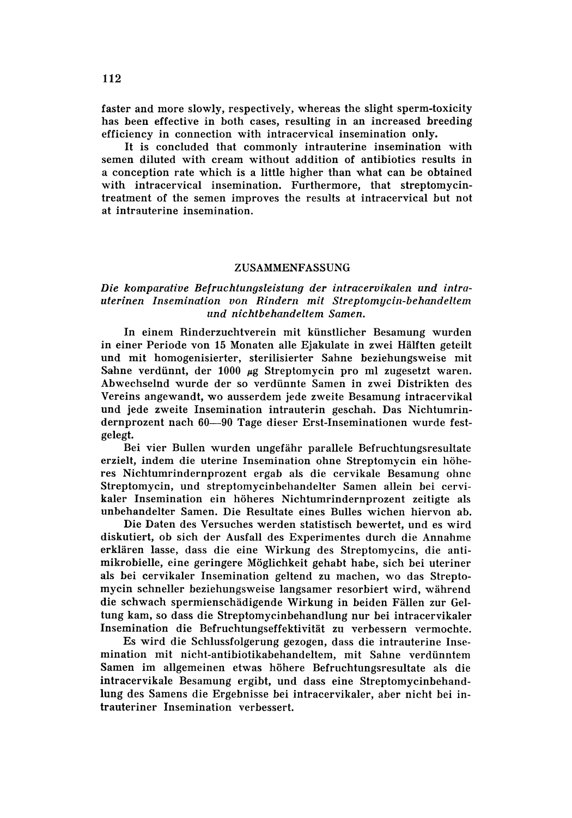faster and more slowly, respectively, whereas the slight sperm-toxicity has been effective in both cases, resulting in an increased breeding efficiency in connection with intracervical insemination only.

It is concluded that commonly intrauterine insemination with semen diluted with cream without addition of antibiotics results in a conception rate which is a little higher than what can be obtained with intracervical insemination. Furthermore, that streptomycintreatment of the semen improves the results at intracervical but not at intrauterine insemination.

#### ZUSAMMENFASSUNG

# *Die komparative Befruchtungsleistung der iniraceroikalen und intrauterinen Insemination von Rindern mit Streptomycin-behandeltem und nichibehandeltem Samen.*

In einem Rinderzuchtverein mit kiinstlicher Besamung wurden in einer Periode von 15 Monaten alle Ejakulate in zwei Hälften geteilt und mit homogenisierter, sterilisierter Sahne beziehungsweise mit Sahne verdünnt, der 1000 µg Streptomycin pro ml zugesetzt waren. Abwechselnd wurde der so verdiinnte Samen in zwei Distrikten des Vereins angewandt, wo ausserdem jede zweite Besamung intracervikal und jede zweite Insemination intrauterin geschah. Das Nichtumrindernprozent nach 60-90 Tage dieser Erst-Inseminationen wurde festgelegt.

Bei vier Bullen wurden ungefiihr parallele Befruchtungsresultate erzielt, indem die uterine Insemination ohne Streptomycin ein höheres Nichtumrindernprozent ergab als die cervikale Besamung ohne Streptomycin, und streptomycinbehandelter Samen allein bei cervikaler Insemination ein hoheres Nichtumrindernprozent zeitigte als unbehandelter Samen. Die Resultate eines Bulles wichen hiervon ab.

Die Daten des Versuches werden statistisch bewertet, und es wird diskutiert, ob sich der Ausfall des Experimentes durch die Annahme erklären lasse, dass die eine Wirkung des Streptomycins, die antimikrobielle, eine geringere Moglichkeit gehabt habe, sich bei uteriner als bei cervikaler Insemination geltend zu machen, wo das Streptomycin schneller beziehungsweise langsamer resorbiert wird, während die schwach spermienschiidigende Wirkung in beiden Fallen zur Geltung kam, so dass die Streptomycinbehandlung nur bei intracervikaler Insemination die Befruchtungseffektivität zu verbessern vermochte.

Es wird die Schlussfolgerung gezogen, dass die intrauterine Insemination mit nicht-antibiotikabehandeltem, mit Sahne verdiinntem Samen im allgemeinen etwas hohere Befruchtungsresultate als die intracervikale Besamung ergibt, und dass eine Streptomycinbehandlung des Samens die Ergebnisse bei intracervikaler, aber nicht bei intrauteriner Insemination verbessert.